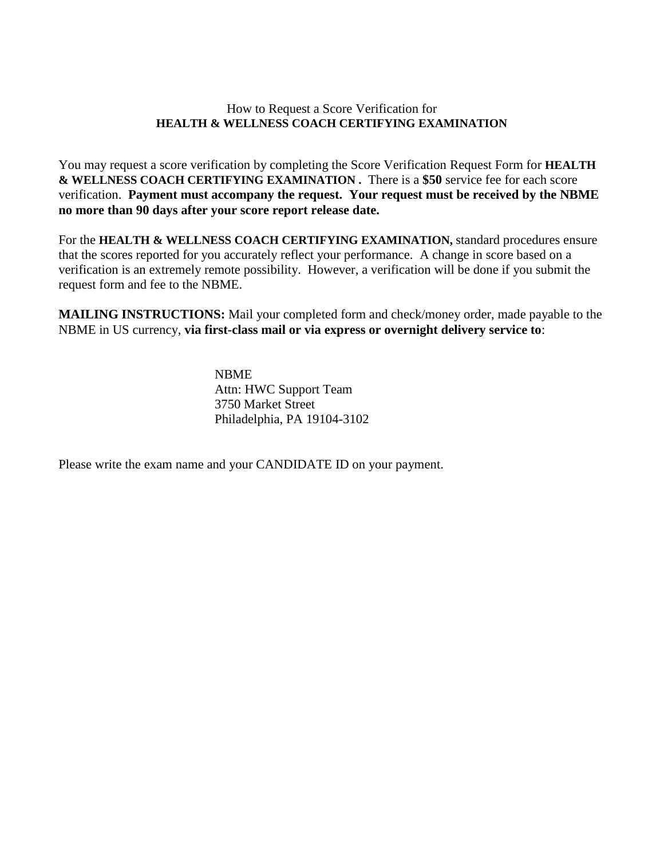## How to Request a Score Verification for **HEALTH & WELLNESS COACH CERTIFYING EXAMINATION**

You may request a score verification by completing the Score Verification Request Form for **HEALTH & WELLNESS COACH CERTIFYING EXAMINATION .** There is a **\$50** service fee for each score verification. **Payment must accompany the request. Your request must be received by the NBME no more than 90 days after your score report release date.** 

For the **HEALTH & WELLNESS COACH CERTIFYING EXAMINATION,** standard procedures ensure that the scores reported for you accurately reflect your performance. A change in score based on a verification is an extremely remote possibility. However, a verification will be done if you submit the request form and fee to the NBME.

**MAILING INSTRUCTIONS:** Mail your completed form and check/money order, made payable to the NBME in US currency, **via first-class mail or via express or overnight delivery service to**:

> NBME Attn: HWC Support Team 3750 Market Street Philadelphia, PA 19104-3102

Please write the exam name and your CANDIDATE ID on your payment.